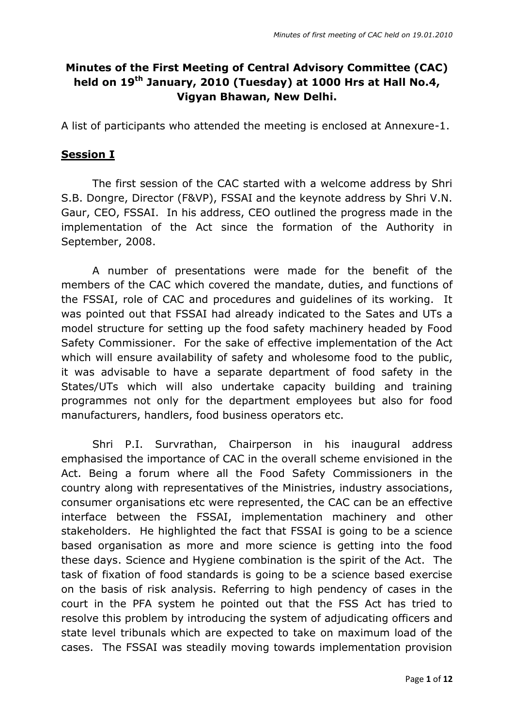## **Minutes of the First Meeting of Central Advisory Committee (CAC) held on 19th January, 2010 (Tuesday) at 1000 Hrs at Hall No.4, Vigyan Bhawan, New Delhi.**

A list of participants who attended the meeting is enclosed at Annexure-1.

## **Session I**

The first session of the CAC started with a welcome address by Shri S.B. Dongre, Director (F&VP), FSSAI and the keynote address by Shri V.N. Gaur, CEO, FSSAI. In his address, CEO outlined the progress made in the implementation of the Act since the formation of the Authority in September, 2008.

A number of presentations were made for the benefit of the members of the CAC which covered the mandate, duties, and functions of the FSSAI, role of CAC and procedures and guidelines of its working. It was pointed out that FSSAI had already indicated to the Sates and UTs a model structure for setting up the food safety machinery headed by Food Safety Commissioner. For the sake of effective implementation of the Act which will ensure availability of safety and wholesome food to the public, it was advisable to have a separate department of food safety in the States/UTs which will also undertake capacity building and training programmes not only for the department employees but also for food manufacturers, handlers, food business operators etc.

Shri P.I. Survrathan, Chairperson in his inaugural address emphasised the importance of CAC in the overall scheme envisioned in the Act. Being a forum where all the Food Safety Commissioners in the country along with representatives of the Ministries, industry associations, consumer organisations etc were represented, the CAC can be an effective interface between the FSSAI, implementation machinery and other stakeholders. He highlighted the fact that FSSAI is going to be a science based organisation as more and more science is getting into the food these days. Science and Hygiene combination is the spirit of the Act. The task of fixation of food standards is going to be a science based exercise on the basis of risk analysis. Referring to high pendency of cases in the court in the PFA system he pointed out that the FSS Act has tried to resolve this problem by introducing the system of adjudicating officers and state level tribunals which are expected to take on maximum load of the cases. The FSSAI was steadily moving towards implementation provision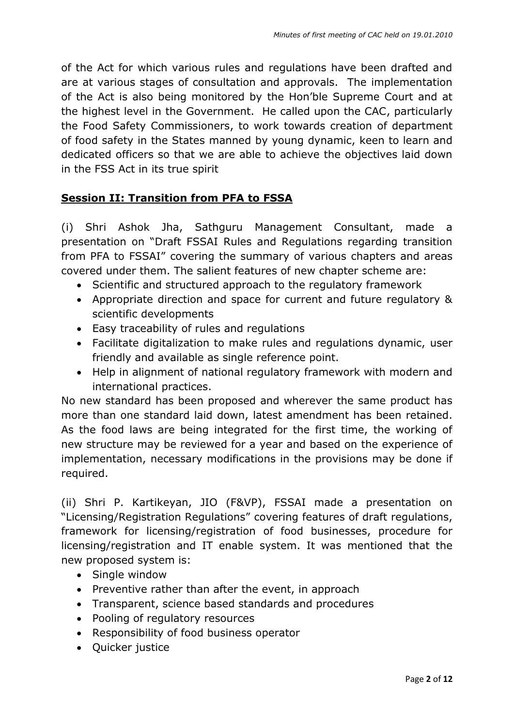of the Act for which various rules and regulations have been drafted and are at various stages of consultation and approvals. The implementation of the Act is also being monitored by the Hon"ble Supreme Court and at the highest level in the Government. He called upon the CAC, particularly the Food Safety Commissioners, to work towards creation of department of food safety in the States manned by young dynamic, keen to learn and dedicated officers so that we are able to achieve the objectives laid down in the FSS Act in its true spirit

### **Session II: Transition from PFA to FSSA**

(i) Shri Ashok Jha, Sathguru Management Consultant, made a presentation on "Draft FSSAI Rules and Regulations regarding transition from PFA to FSSAI" covering the summary of various chapters and areas covered under them. The salient features of new chapter scheme are:

- Scientific and structured approach to the regulatory framework
- Appropriate direction and space for current and future regulatory & scientific developments
- Easy traceability of rules and regulations
- Facilitate digitalization to make rules and regulations dynamic, user friendly and available as single reference point.
- Help in alignment of national regulatory framework with modern and international practices.

No new standard has been proposed and wherever the same product has more than one standard laid down, latest amendment has been retained. As the food laws are being integrated for the first time, the working of new structure may be reviewed for a year and based on the experience of implementation, necessary modifications in the provisions may be done if required.

(ii) Shri P. Kartikeyan, JIO (F&VP), FSSAI made a presentation on "Licensing/Registration Regulations" covering features of draft regulations, framework for licensing/registration of food businesses, procedure for licensing/registration and IT enable system. It was mentioned that the new proposed system is:

- Single window
- Preventive rather than after the event, in approach
- Transparent, science based standards and procedures
- Pooling of regulatory resources
- Responsibility of food business operator
- Ouicker justice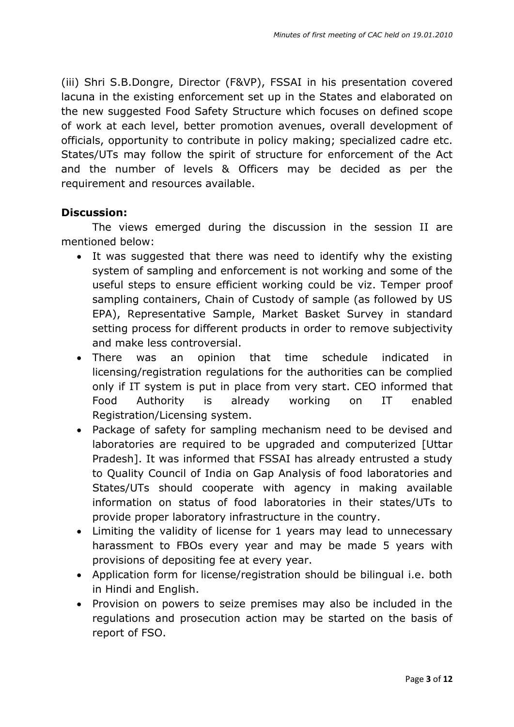(iii) Shri S.B.Dongre, Director (F&VP), FSSAI in his presentation covered lacuna in the existing enforcement set up in the States and elaborated on the new suggested Food Safety Structure which focuses on defined scope of work at each level, better promotion avenues, overall development of officials, opportunity to contribute in policy making; specialized cadre etc. States/UTs may follow the spirit of structure for enforcement of the Act and the number of levels & Officers may be decided as per the requirement and resources available.

#### **Discussion:**

The views emerged during the discussion in the session II are mentioned below:

- It was suggested that there was need to identify why the existing system of sampling and enforcement is not working and some of the useful steps to ensure efficient working could be viz. Temper proof sampling containers, Chain of Custody of sample (as followed by US EPA), Representative Sample, Market Basket Survey in standard setting process for different products in order to remove subjectivity and make less controversial.
- There was an opinion that time schedule indicated in licensing/registration regulations for the authorities can be complied only if IT system is put in place from very start. CEO informed that Food Authority is already working on IT enabled Registration/Licensing system.
- Package of safety for sampling mechanism need to be devised and laboratories are required to be upgraded and computerized [Uttar Pradesh]. It was informed that FSSAI has already entrusted a study to Quality Council of India on Gap Analysis of food laboratories and States/UTs should cooperate with agency in making available information on status of food laboratories in their states/UTs to provide proper laboratory infrastructure in the country.
- Limiting the validity of license for 1 years may lead to unnecessary harassment to FBOs every year and may be made 5 years with provisions of depositing fee at every year.
- Application form for license/registration should be bilingual i.e. both in Hindi and English.
- Provision on powers to seize premises may also be included in the regulations and prosecution action may be started on the basis of report of FSO.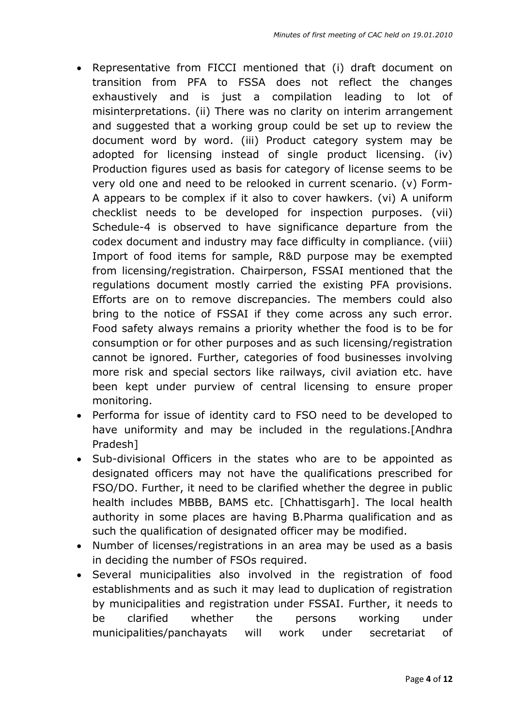- Representative from FICCI mentioned that (i) draft document on transition from PFA to FSSA does not reflect the changes exhaustively and is just a compilation leading to lot of misinterpretations. (ii) There was no clarity on interim arrangement and suggested that a working group could be set up to review the document word by word. (iii) Product category system may be adopted for licensing instead of single product licensing. (iv) Production figures used as basis for category of license seems to be very old one and need to be relooked in current scenario. (v) Form-A appears to be complex if it also to cover hawkers. (vi) A uniform checklist needs to be developed for inspection purposes. (vii) Schedule-4 is observed to have significance departure from the codex document and industry may face difficulty in compliance. (viii) Import of food items for sample, R&D purpose may be exempted from licensing/registration. Chairperson, FSSAI mentioned that the regulations document mostly carried the existing PFA provisions. Efforts are on to remove discrepancies. The members could also bring to the notice of FSSAI if they come across any such error. Food safety always remains a priority whether the food is to be for consumption or for other purposes and as such licensing/registration cannot be ignored. Further, categories of food businesses involving more risk and special sectors like railways, civil aviation etc. have been kept under purview of central licensing to ensure proper monitoring.
- Performa for issue of identity card to FSO need to be developed to have uniformity and may be included in the regulations.[Andhra Pradesh]
- Sub-divisional Officers in the states who are to be appointed as designated officers may not have the qualifications prescribed for FSO/DO. Further, it need to be clarified whether the degree in public health includes MBBB, BAMS etc. [Chhattisgarh]. The local health authority in some places are having B.Pharma qualification and as such the qualification of designated officer may be modified.
- Number of licenses/registrations in an area may be used as a basis in deciding the number of FSOs required.
- Several municipalities also involved in the registration of food establishments and as such it may lead to duplication of registration by municipalities and registration under FSSAI. Further, it needs to be clarified whether the persons working under municipalities/panchayats will work under secretariat of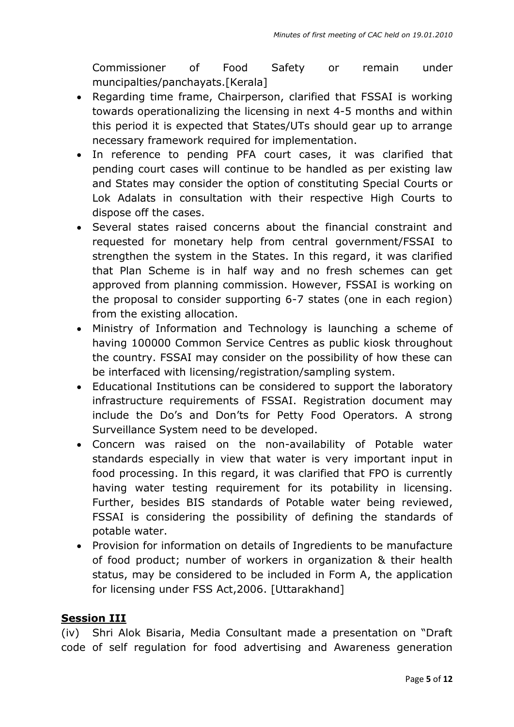Commissioner of Food Safety or remain under muncipalties/panchayats.[Kerala]

- Regarding time frame, Chairperson, clarified that FSSAI is working towards operationalizing the licensing in next 4-5 months and within this period it is expected that States/UTs should gear up to arrange necessary framework required for implementation.
- In reference to pending PFA court cases, it was clarified that pending court cases will continue to be handled as per existing law and States may consider the option of constituting Special Courts or Lok Adalats in consultation with their respective High Courts to dispose off the cases.
- Several states raised concerns about the financial constraint and requested for monetary help from central government/FSSAI to strengthen the system in the States. In this regard, it was clarified that Plan Scheme is in half way and no fresh schemes can get approved from planning commission. However, FSSAI is working on the proposal to consider supporting 6-7 states (one in each region) from the existing allocation.
- Ministry of Information and Technology is launching a scheme of having 100000 Common Service Centres as public kiosk throughout the country. FSSAI may consider on the possibility of how these can be interfaced with licensing/registration/sampling system.
- Educational Institutions can be considered to support the laboratory infrastructure requirements of FSSAI. Registration document may include the Do's and Don'ts for Petty Food Operators. A strong Surveillance System need to be developed.
- Concern was raised on the non-availability of Potable water standards especially in view that water is very important input in food processing. In this regard, it was clarified that FPO is currently having water testing requirement for its potability in licensing. Further, besides BIS standards of Potable water being reviewed, FSSAI is considering the possibility of defining the standards of potable water.
- Provision for information on details of Ingredients to be manufacture of food product; number of workers in organization & their health status, may be considered to be included in Form A, the application for licensing under FSS Act,2006. [Uttarakhand]

## **Session III**

(iv) Shri Alok Bisaria, Media Consultant made a presentation on "Draft code of self regulation for food advertising and Awareness generation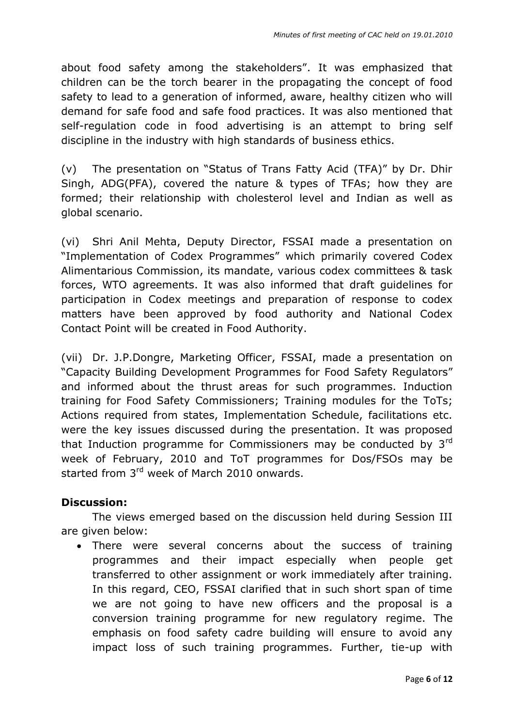about food safety among the stakeholders". It was emphasized that children can be the torch bearer in the propagating the concept of food safety to lead to a generation of informed, aware, healthy citizen who will demand for safe food and safe food practices. It was also mentioned that self-regulation code in food advertising is an attempt to bring self discipline in the industry with high standards of business ethics.

(v) The presentation on "Status of Trans Fatty Acid (TFA)" by Dr. Dhir Singh, ADG(PFA), covered the nature & types of TFAs; how they are formed; their relationship with cholesterol level and Indian as well as global scenario.

(vi) Shri Anil Mehta, Deputy Director, FSSAI made a presentation on "Implementation of Codex Programmes" which primarily covered Codex Alimentarious Commission, its mandate, various codex committees & task forces, WTO agreements. It was also informed that draft guidelines for participation in Codex meetings and preparation of response to codex matters have been approved by food authority and National Codex Contact Point will be created in Food Authority.

(vii) Dr. J.P.Dongre, Marketing Officer, FSSAI, made a presentation on "Capacity Building Development Programmes for Food Safety Regulators" and informed about the thrust areas for such programmes. Induction training for Food Safety Commissioners; Training modules for the ToTs; Actions required from states, Implementation Schedule, facilitations etc. were the key issues discussed during the presentation. It was proposed that Induction programme for Commissioners may be conducted by  $3<sup>rd</sup>$ week of February, 2010 and ToT programmes for Dos/FSOs may be started from 3<sup>rd</sup> week of March 2010 onwards.

#### **Discussion:**

The views emerged based on the discussion held during Session III are given below:

 There were several concerns about the success of training programmes and their impact especially when people get transferred to other assignment or work immediately after training. In this regard, CEO, FSSAI clarified that in such short span of time we are not going to have new officers and the proposal is a conversion training programme for new regulatory regime. The emphasis on food safety cadre building will ensure to avoid any impact loss of such training programmes. Further, tie-up with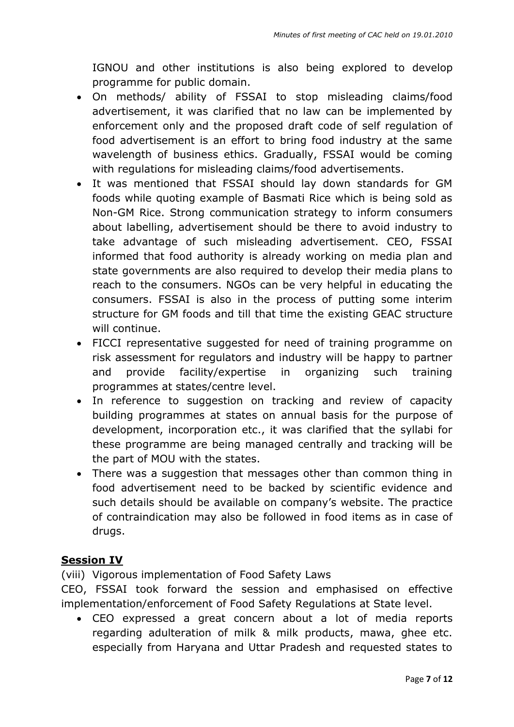IGNOU and other institutions is also being explored to develop programme for public domain.

- On methods/ ability of FSSAI to stop misleading claims/food advertisement, it was clarified that no law can be implemented by enforcement only and the proposed draft code of self regulation of food advertisement is an effort to bring food industry at the same wavelength of business ethics. Gradually, FSSAI would be coming with regulations for misleading claims/food advertisements.
- It was mentioned that FSSAI should lay down standards for GM foods while quoting example of Basmati Rice which is being sold as Non-GM Rice. Strong communication strategy to inform consumers about labelling, advertisement should be there to avoid industry to take advantage of such misleading advertisement. CEO, FSSAI informed that food authority is already working on media plan and state governments are also required to develop their media plans to reach to the consumers. NGOs can be very helpful in educating the consumers. FSSAI is also in the process of putting some interim structure for GM foods and till that time the existing GEAC structure will continue.
- FICCI representative suggested for need of training programme on risk assessment for regulators and industry will be happy to partner and provide facility/expertise in organizing such training programmes at states/centre level.
- In reference to suggestion on tracking and review of capacity building programmes at states on annual basis for the purpose of development, incorporation etc., it was clarified that the syllabi for these programme are being managed centrally and tracking will be the part of MOU with the states.
- There was a suggestion that messages other than common thing in food advertisement need to be backed by scientific evidence and such details should be available on company's website. The practice of contraindication may also be followed in food items as in case of drugs.

### **Session IV**

(viii) Vigorous implementation of Food Safety Laws

CEO, FSSAI took forward the session and emphasised on effective implementation/enforcement of Food Safety Regulations at State level.

 CEO expressed a great concern about a lot of media reports regarding adulteration of milk & milk products, mawa, ghee etc. especially from Haryana and Uttar Pradesh and requested states to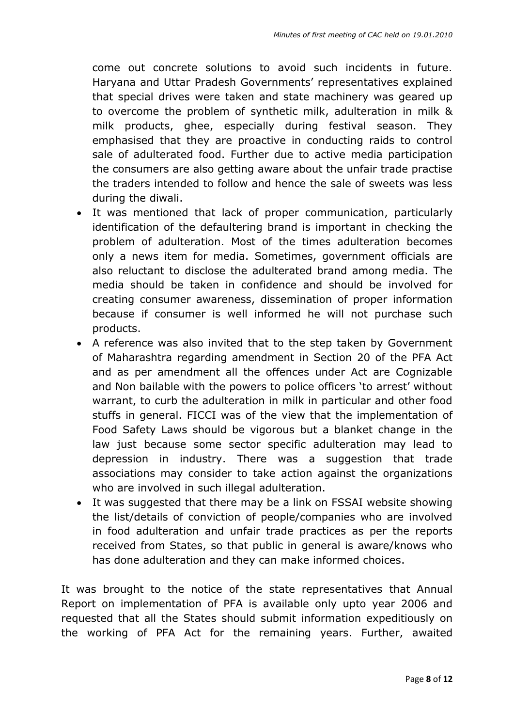come out concrete solutions to avoid such incidents in future. Haryana and Uttar Pradesh Governments' representatives explained that special drives were taken and state machinery was geared up to overcome the problem of synthetic milk, adulteration in milk & milk products, ghee, especially during festival season. They emphasised that they are proactive in conducting raids to control sale of adulterated food. Further due to active media participation the consumers are also getting aware about the unfair trade practise the traders intended to follow and hence the sale of sweets was less during the diwali.

- It was mentioned that lack of proper communication, particularly identification of the defaultering brand is important in checking the problem of adulteration. Most of the times adulteration becomes only a news item for media. Sometimes, government officials are also reluctant to disclose the adulterated brand among media. The media should be taken in confidence and should be involved for creating consumer awareness, dissemination of proper information because if consumer is well informed he will not purchase such products.
- A reference was also invited that to the step taken by Government of Maharashtra regarding amendment in Section 20 of the PFA Act and as per amendment all the offences under Act are Cognizable and Non bailable with the powers to police officers 'to arrest' without warrant, to curb the adulteration in milk in particular and other food stuffs in general. FICCI was of the view that the implementation of Food Safety Laws should be vigorous but a blanket change in the law just because some sector specific adulteration may lead to depression in industry. There was a suggestion that trade associations may consider to take action against the organizations who are involved in such illegal adulteration.
- It was suggested that there may be a link on FSSAI website showing the list/details of conviction of people/companies who are involved in food adulteration and unfair trade practices as per the reports received from States, so that public in general is aware/knows who has done adulteration and they can make informed choices.

It was brought to the notice of the state representatives that Annual Report on implementation of PFA is available only upto year 2006 and requested that all the States should submit information expeditiously on the working of PFA Act for the remaining years. Further, awaited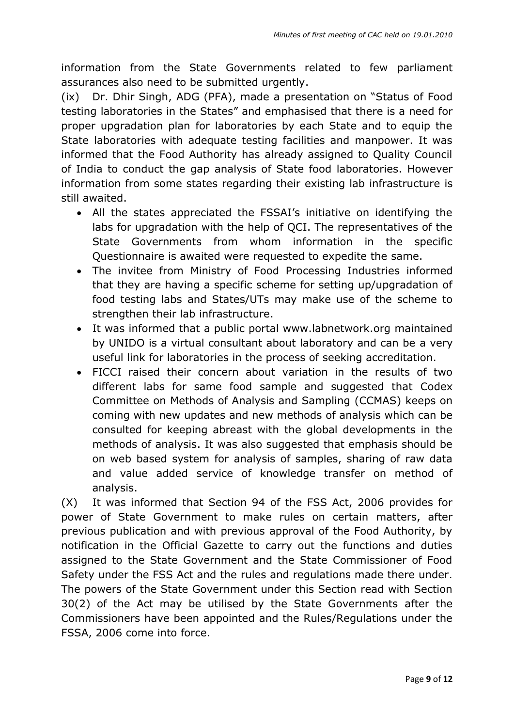information from the State Governments related to few parliament assurances also need to be submitted urgently.

(ix) Dr. Dhir Singh, ADG (PFA), made a presentation on "Status of Food testing laboratories in the States" and emphasised that there is a need for proper upgradation plan for laboratories by each State and to equip the State laboratories with adequate testing facilities and manpower. It was informed that the Food Authority has already assigned to Quality Council of India to conduct the gap analysis of State food laboratories. However information from some states regarding their existing lab infrastructure is still awaited.

- All the states appreciated the FSSAI"s initiative on identifying the labs for upgradation with the help of QCI. The representatives of the State Governments from whom information in the specific Questionnaire is awaited were requested to expedite the same.
- The invitee from Ministry of Food Processing Industries informed that they are having a specific scheme for setting up/upgradation of food testing labs and States/UTs may make use of the scheme to strengthen their lab infrastructure.
- It was informed that a public portal www[.labnetwork.org](http://labnetwork.org/) maintained by UNIDO is a virtual consultant about laboratory and can be a very useful link for laboratories in the process of seeking accreditation.
- FICCI raised their concern about variation in the results of two different labs for same food sample and suggested that Codex Committee on Methods of Analysis and Sampling (CCMAS) keeps on coming with new updates and new methods of analysis which can be consulted for keeping abreast with the global developments in the methods of analysis. It was also suggested that emphasis should be on web based system for analysis of samples, sharing of raw data and value added service of knowledge transfer on method of analysis.

(X) It was informed that Section 94 of the FSS Act, 2006 provides for power of State Government to make rules on certain matters, after previous publication and with previous approval of the Food Authority, by notification in the Official Gazette to carry out the functions and duties assigned to the State Government and the State Commissioner of Food Safety under the FSS Act and the rules and regulations made there under. The powers of the State Government under this Section read with Section 30(2) of the Act may be utilised by the State Governments after the Commissioners have been appointed and the Rules/Regulations under the FSSA, 2006 come into force.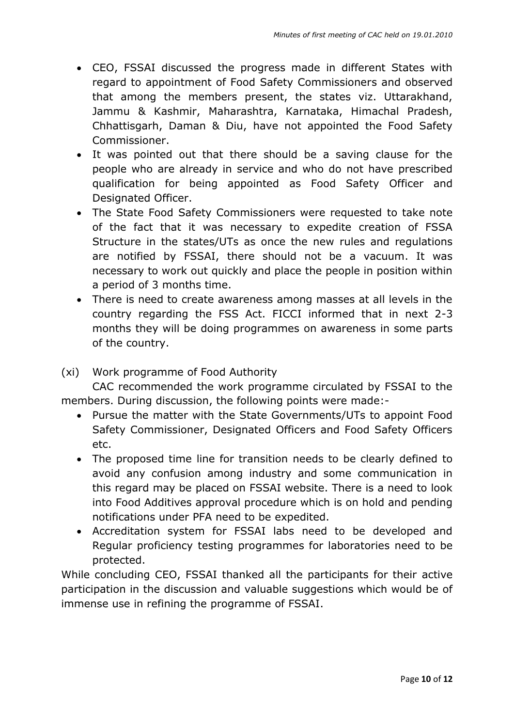- CEO, FSSAI discussed the progress made in different States with regard to appointment of Food Safety Commissioners and observed that among the members present, the states viz. Uttarakhand, Jammu & Kashmir, Maharashtra, Karnataka, Himachal Pradesh, Chhattisgarh, Daman & Diu, have not appointed the Food Safety Commissioner.
- It was pointed out that there should be a saving clause for the people who are already in service and who do not have prescribed qualification for being appointed as Food Safety Officer and Designated Officer.
- The State Food Safety Commissioners were requested to take note of the fact that it was necessary to expedite creation of FSSA Structure in the states/UTs as once the new rules and regulations are notified by FSSAI, there should not be a vacuum. It was necessary to work out quickly and place the people in position within a period of 3 months time.
- There is need to create awareness among masses at all levels in the country regarding the FSS Act. FICCI informed that in next 2-3 months they will be doing programmes on awareness in some parts of the country.

#### (xi) Work programme of Food Authority

CAC recommended the work programme circulated by FSSAI to the members. During discussion, the following points were made:-

- Pursue the matter with the State Governments/UTs to appoint Food Safety Commissioner, Designated Officers and Food Safety Officers etc.
- The proposed time line for transition needs to be clearly defined to avoid any confusion among industry and some communication in this regard may be placed on FSSAI website. There is a need to look into Food Additives approval procedure which is on hold and pending notifications under PFA need to be expedited.
- Accreditation system for FSSAI labs need to be developed and Regular proficiency testing programmes for laboratories need to be protected.

While concluding CEO, FSSAI thanked all the participants for their active participation in the discussion and valuable suggestions which would be of immense use in refining the programme of FSSAI.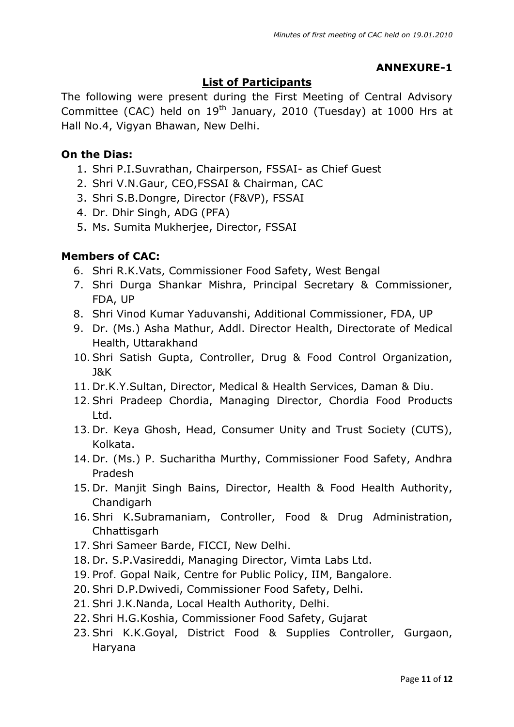# **ANNEXURE-1**

# **List of Participants**

The following were present during the First Meeting of Central Advisory Committee (CAC) held on  $19<sup>th</sup>$  January, 2010 (Tuesday) at 1000 Hrs at Hall No.4, Vigyan Bhawan, New Delhi.

### **On the Dias:**

- 1. Shri P.I.Suvrathan, Chairperson, FSSAI- as Chief Guest
- 2. Shri V.N.Gaur, CEO,FSSAI & Chairman, CAC
- 3. Shri S.B.Dongre, Director (F&VP), FSSAI
- 4. Dr. Dhir Singh, ADG (PFA)
- 5. Ms. Sumita Mukherjee, Director, FSSAI

## **Members of CAC:**

- 6. Shri R.K.Vats, Commissioner Food Safety, West Bengal
- 7. Shri Durga Shankar Mishra, Principal Secretary & Commissioner, FDA, UP
- 8. Shri Vinod Kumar Yaduvanshi, Additional Commissioner, FDA, UP
- 9. Dr. (Ms.) Asha Mathur, Addl. Director Health, Directorate of Medical Health, Uttarakhand
- 10. Shri Satish Gupta, Controller, Drug & Food Control Organization, J&K
- 11. Dr.K.Y.Sultan, Director, Medical & Health Services, Daman & Diu.
- 12. Shri Pradeep Chordia, Managing Director, Chordia Food Products Ltd.
- 13. Dr. Keya Ghosh, Head, Consumer Unity and Trust Society (CUTS), Kolkata.
- 14. Dr. (Ms.) P. Sucharitha Murthy, Commissioner Food Safety, Andhra Pradesh
- 15. Dr. Manjit Singh Bains, Director, Health & Food Health Authority, Chandigarh
- 16. Shri K.Subramaniam, Controller, Food & Drug Administration, Chhattisgarh
- 17. Shri Sameer Barde, FICCI, New Delhi.
- 18. Dr. S.P.Vasireddi, Managing Director, Vimta Labs Ltd.
- 19. Prof. Gopal Naik, Centre for Public Policy, IIM, Bangalore.
- 20. Shri D.P.Dwivedi, Commissioner Food Safety, Delhi.
- 21. Shri J.K.Nanda, Local Health Authority, Delhi.
- 22. Shri H.G.Koshia, Commissioner Food Safety, Gujarat
- 23. Shri K.K.Goyal, District Food & Supplies Controller, Gurgaon, Haryana